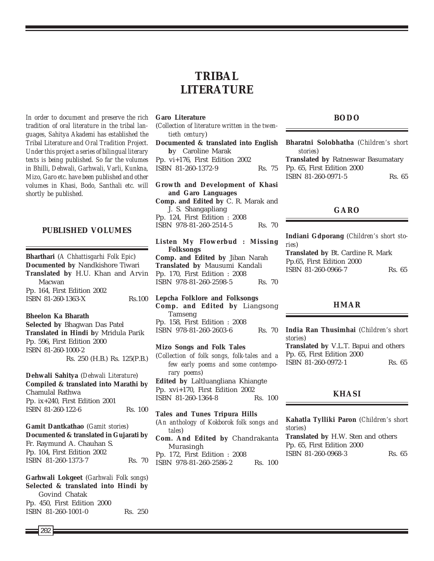*In order to document and preserve the rich tradition of oral literature in the tribal languages, Sahitya Akademi has established the Tribal Literature and Oral Tradition Project. Under this project a series of bilingual literary texts is being published. So far the volumes in Bhilli, Dehwali, Garhwali, Varli, Kunkna, Mizo, Garo etc. have been published and other volumes in Khasi, Bodo, Santhali etc. will shortly be published.*

## **PUBLISHED VOLUMES**

**Bharthari** (*A Chhattisgarhi Folk Epic*) **Documented by** Nandkishore Tiwari **Translated by** H.U. Khan and Arvin Macwan Pp. 164, First Edition 2002 **ISBN 81-260-1363-X** Rs.100

#### **Bheelon Ka Bharath**

**Selected by** Bhagwan Das Patel **Translated in Hindi b**y Mridula Parik Pp. 596, First Edition 2000 ISBN 81-260-1000-2 Rs. 250 (H.B.) Rs. 125(P.B.)

#### **Dehwali Sahitya** (*Dehwali Literature*)

**Compiled & translated into Marathi by** Chamulal Rathwa Pp. ix+240, First Edition 2001 ISBN 81-260-122-6 Rs. 100

## **Gamit Dantkathao** (*Gamit stories*) **Documented & translated in Gujarati by** Fr. Raymund A. Chauhan S. Pp. 104, First Edition 2002 ISBN 81-260-1373-7 Rs. 70

**Garhwali Lokgeet** (*Garhwali Folk songs*) **Selected & translated into Hindi by** Govind Chatak Pp. 450, First Edition 2000 ISBN 81-260-1001-0 Rs. 250

# **TRIBAL LITERATURE**

### **Garo Literature**

(*Collection of literature written in the twentieth century*)

**Documented & translated into English b**y Caroline Marak Pp. vi+176, First Edition 2002 ISBN 81-260-1372-9 Rs. 75

**Growth and Development of Khasi and Garo Languages Comp. and Edited by** C. R. Marak and J. S. Shangapliang Pp. 124, First Edition : 2008 ISBN 978-81-260-2514-5 Rs. 70

**Listen My Flowerbud : Missing Folksongs Comp. and Edited by** Jiban Narah **Translated by** Mausumi Kandali Pp. 170, First Edition : 2008 ISBN 978-81-260-2598-5 Rs. 70

**Lepcha Folklore and Folksongs Comp. and Edited by** Liangsong Tamseng Pp. 158, First Edition : 2008 ISBN 978-81-260-2603-6 Rs. 70

**Mizo Songs and Folk Tales** (*Collection of folk songs, folk-tales and a few early poems and some contemporary poems*) **Edited by** Laltluangliana Khiangte Pp. xvi+170, First Edition 2002 ISBN 81-260-1364-8 Rs. 100

**Tales and Tunes Tripura Hills** (*An anthology of Kokborok folk songs and tales*) **Com. And Edited by** Chandrakanta Murasingh

Pp. 172, First Edition : 2008 ISBN 978-81-260-2586-2 Rs. 100

#### **BODO**

**Bharatni Solobhatha** (*Children's short stories*) **Translated by** Ratneswar Basumatary Pp. 65, First Edition 2000 ISBN 81-260-0971-5 Rs. 65

## **GARO**

**Indiani Gdporang** (*Children's short stories*) **Translated by** Bt. Cardine R. Mark

Pp.65, First Edition 2000 ISBN 81-260-0966-7 Rs. 65

#### **HMAR**

**India Ran Thusimhai** (*Children's short stories*) **Translated by** V.L.T. Bapui and others

Pp. 65, First Edition 2000 ISBN 81-260-0972-1 Rs. 65

## **KHASI**

**Kahatla Tylliki Paron** (*Children's short stories*) **Translated by** H.W. Sten and others Pp. 65, First Edition 2000 ISBN 81-260-0968-3 Rs. 65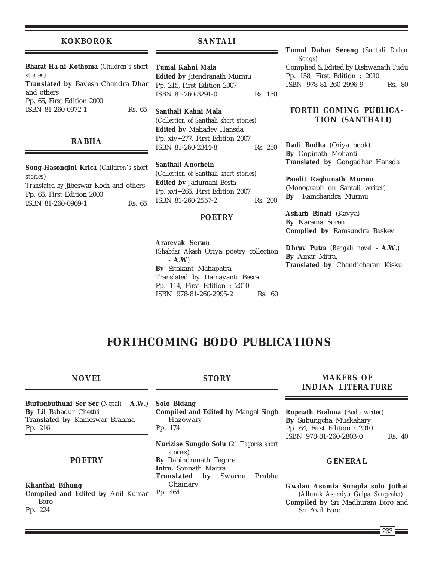### **KOKBOROK**

## **SANTALI**

**Bharat Ha-ni Kothoma** (*Children's short stories*) **Translated by** Bavesh Chandra Dhar and others Pp. 65, First Edition 2000 ISBN 81-260-0972-1 Rs. 65

## **RABHA**

**Song-Hasongini Krica** (*Children's short stories*) *Translated by* Jibeswar Koch and others Pp. 65, First Edition 2000 ISBN 81-260-0969-1 Rs. 65

**Tumal Kahni Mala Edited by** Jitendranath Murmu Pp. 215, First Edition 2007 ISBN 81-260-3291-0 Rs. 150

**Santhali Kahni Mala** *(Collection of Santhali short stories)* **Edited by** Mahadev Hansda Pp. xiv+277, First Edition 2007 ISBN 81-260-2344-8 Rs. 250

**Santhali Anorhein** *(Collection of Santhali short stories)* **Edited by** Jadumani Besta Pp. xvi+265, First Edition 2007 ISBN 81-260-2557-2 Rs. 200

#### **POETRY**

**Arareyak Seram** (*Shabdar Akash* Oriya poetry collection - **A.W**) **By** Sitakant Mahapatra Translated by Damayanti Besra Pp. 114, First Edition : 2010 ISBN 978-81-260-2995-2 Rs. 60

**Tumal Dahar Sereng** *(Santali Dahar Songs)* Complied & Edited by Bishwanath Tudu Pp. 158, First Edition : 2010 ISBN 978-81-260-2996-9 Rs. 80

## **FORTH COMING PUBLICA-TION (SANTHALI)**

**Dadi Budha** (Oriya book) **By** Gopinath Mohanti **Translated by** Gangadhar Hansda

**Pandit Raghunath Murmu** (Monograph on Santali writer) **By** Ramchandra Murmu

**Asharh Binati** (Kavya) **By** Naraina Soren **Complied by** Ramsundra Baskey

**Dhruv Putra** (*Bengali novel* - **A.W.**) **By** Amar Mitra, **Translated by** Chandicharan Kisku

# **FORTHCOMING BODO PUBLICATIONS**

### **NOVEL**

**Burlugbuthuni Ser Ser** (*Nepali* – **A.W.**) **By** Lil Bahadur Chettri **Translated by** Kameswar Brahma Pp. 216

## **POETRY**

**Khanthai Bihung Compiled and Edited by** Anil Kumar Boro Pp. 224

## **STORY**

**Solo Bidang Compiled and Edited by** Mangal Singh Hazowary Pp. 174

**Nurizise Sungdo Solu** (*21 Tagores short stories*) **By** Rabindranath Tagore **Intro.** Sonnath Maitra **Translated by** Swarna Prabha Chainary

Pp. 464

## **MAKERS OF INDIAN LITERATURE**

**Rupnath Brahma** (*Bodo writer*) **By** Subungcha Muskahary Pp. 64, First Edition : 2010 ISBN 978-81-260-2803-0 Rs. 40

## **GENERAL**

**Gwdan Asomia Sungda solo Jothai** (*Allunik Asamiya Galpa Sangraha*) **Compiled by** Sri Madhuram Boro and Sri Avil Boro

203